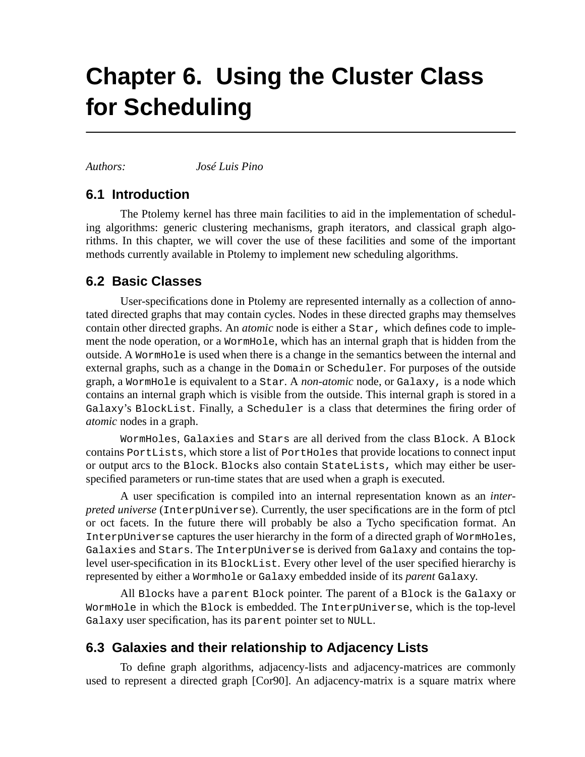# **Chapter 6. Using the Cluster Class for Scheduling**

*Authors: José Luis Pino*

## **6.1 Introduction**

The Ptolemy kernel has three main facilities to aid in the implementation of scheduling algorithms: generic clustering mechanisms, graph iterators, and classical graph algorithms. In this chapter, we will cover the use of these facilities and some of the important methods currently available in Ptolemy to implement new scheduling algorithms.

## **6.2 Basic Classes**

User-specifications done in Ptolemy are represented internally as a collection of annotated directed graphs that may contain cycles. Nodes in these directed graphs may themselves contain other directed graphs. An *atomic* node is either a Star, which defines code to implement the node operation, or a WormHole, which has an internal graph that is hidden from the outside. A WormHole is used when there is a change in the semantics between the internal and external graphs, such as a change in the Domain or Scheduler. For purposes of the outside graph, a WormHole is equivalent to a Star. A *non-atomic* node, or Galaxy, is a node which contains an internal graph which is visible from the outside. This internal graph is stored in a Galaxy's BlockList. Finally, a Scheduler is a class that determines the firing order of *atomic* nodes in a graph.

WormHoles, Galaxies and Stars are all derived from the class Block. A Block contains PortLists, which store a list of PortHoles that provide locations to connect input or output arcs to the Block. Blocks also contain StateLists, which may either be userspecified parameters or run-time states that are used when a graph is executed.

A user specification is compiled into an internal representation known as an *interpreted universe* (InterpUniverse). Currently, the user specifications are in the form of ptcl or oct facets. In the future there will probably be also a Tycho specification format. An InterpUniverse captures the user hierarchy in the form of a directed graph of WormHoles, Galaxies and Stars. The InterpUniverse is derived from Galaxy and contains the toplevel user-specification in its BlockList. Every other level of the user specified hierarchy is represented by either a Wormhole or Galaxy embedded inside of its *parent* Galaxy.

All Blocks have a parent Block pointer. The parent of a Block is the Galaxy or WormHole in which the Block is embedded. The InterpUniverse, which is the top-level Galaxy user specification, has its parent pointer set to NULL.

## **6.3 Galaxies and their relationship to Adjacency Lists**

To define graph algorithms, adjacency-lists and adjacency-matrices are commonly used to represent a directed graph [Cor90]. An adjacency-matrix is a square matrix where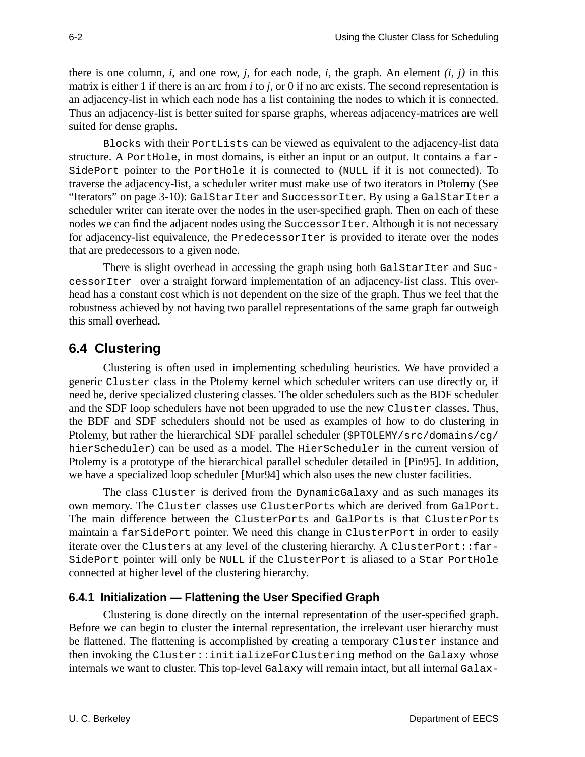there is one column,  $i$ , and one row,  $j$ , for each node,  $i$ , the graph. An element  $(i, j)$  in this matrix is either 1 if there is an arc from *i* to *j*, or 0 if no arc exists. The second representation is an adjacency-list in which each node has a list containing the nodes to which it is connected. Thus an adjacency-list is better suited for sparse graphs, whereas adjacency-matrices are well suited for dense graphs.

Blocks with their PortLists can be viewed as equivalent to the adjacency-list data structure. A PortHole, in most domains, is either an input or an output. It contains a far-SidePort pointer to the PortHole it is connected to (NULL if it is not connected). To traverse the adjacency-list, a scheduler writer must make use of two iterators in Ptolemy (See "Iterators" on page 3-10): GalStarIter and SuccessorIter. By using a GalStarIter a scheduler writer can iterate over the nodes in the user-specified graph. Then on each of these nodes we can find the adjacent nodes using the SuccessorIter. Although it is not necessary for adjacency-list equivalence, the PredecessorIter is provided to iterate over the nodes that are predecessors to a given node.

There is slight overhead in accessing the graph using both GalStarIter and SuccessorIter over a straight forward implementation of an adjacency-list class. This overhead has a constant cost which is not dependent on the size of the graph. Thus we feel that the robustness achieved by not having two parallel representations of the same graph far outweigh this small overhead.

## **6.4 Clustering**

Clustering is often used in implementing scheduling heuristics. We have provided a generic Cluster class in the Ptolemy kernel which scheduler writers can use directly or, if need be, derive specialized clustering classes. The older schedulers such as the BDF scheduler and the SDF loop schedulers have not been upgraded to use the new Cluster classes. Thus, the BDF and SDF schedulers should not be used as examples of how to do clustering in Ptolemy, but rather the hierarchical SDF parallel scheduler (\$PTOLEMY/src/domains/cg/ hierScheduler) can be used as a model. The HierScheduler in the current version of Ptolemy is a prototype of the hierarchical parallel scheduler detailed in [Pin95]. In addition, we have a specialized loop scheduler [Mur94] which also uses the new cluster facilities.

The class Cluster is derived from the DynamicGalaxy and as such manages its own memory. The Cluster classes use ClusterPorts which are derived from GalPort. The main difference between the ClusterPorts and GalPorts is that ClusterPorts maintain a farSidePort pointer. We need this change in ClusterPort in order to easily iterate over the Clusters at any level of the clustering hierarchy. A ClusterPort::far-SidePort pointer will only be NULL if the ClusterPort is aliased to a Star PortHole connected at higher level of the clustering hierarchy.

#### **6.4.1 Initialization — Flattening the User Specified Graph**

Clustering is done directly on the internal representation of the user-specified graph. Before we can begin to cluster the internal representation, the irrelevant user hierarchy must be flattened. The flattening is accomplished by creating a temporary Cluster instance and then invoking the Cluster::initializeForClustering method on the Galaxy whose internals we want to cluster. This top-level Galaxy will remain intact, but all internal Galax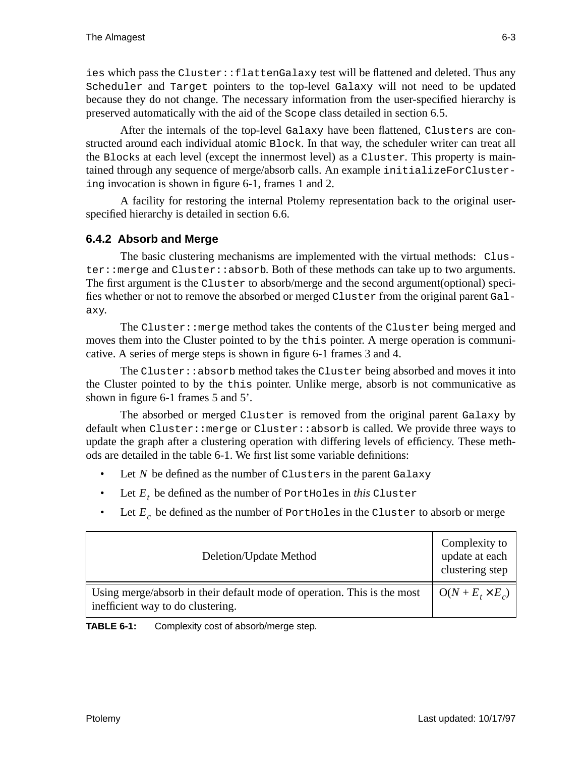ies which pass the Cluster::flattenGalaxy test will be flattened and deleted. Thus any Scheduler and Target pointers to the top-level Galaxy will not need to be updated because they do not change. The necessary information from the user-specified hierarchy is preserved automatically with the aid of the Scope class detailed in section 6.5.

After the internals of the top-level Galaxy have been flattened, Clusters are constructed around each individual atomic Block. In that way, the scheduler writer can treat all the Blocks at each level (except the innermost level) as a Cluster. This property is maintained through any sequence of merge/absorb calls. An example initializeForClustering invocation is shown in figure 6-1, frames 1 and 2.

A facility for restoring the internal Ptolemy representation back to the original userspecified hierarchy is detailed in section 6.6.

#### **6.4.2 Absorb and Merge**

The basic clustering mechanisms are implemented with the virtual methods: Cluster::merge and Cluster::absorb. Both of these methods can take up to two arguments. The first argument is the Cluster to absorb/merge and the second argument(optional) specifies whether or not to remove the absorbed or merged Cluster from the original parent Galaxy.

The Cluster::merge method takes the contents of the Cluster being merged and moves them into the Cluster pointed to by the this pointer. A merge operation is communicative. A series of merge steps is shown in figure 6-1 frames 3 and 4.

The Cluster::absorb method takes the Cluster being absorbed and moves it into the Cluster pointed to by the this pointer. Unlike merge, absorb is not communicative as shown in figure 6-1 frames 5 and 5'.

The absorbed or merged Cluster is removed from the original parent Galaxy by default when Cluster::merge or Cluster::absorb is called. We provide three ways to update the graph after a clustering operation with differing levels of efficiency. These methods are detailed in the table 6-1. We first list some variable definitions:

- Let N be defined as the number of Clusters in the parent Galaxy
- Let  $E_t$  be defined as the number of PortHoles in *this* Cluster
- Let  $E_c$  be defined as the number of PortHoles in the Cluster to absorb or merge

| Deletion/Update Method                                                                                       | Complexity to<br>update at each<br>clustering step       |
|--------------------------------------------------------------------------------------------------------------|----------------------------------------------------------|
| Using merge/absorb in their default mode of operation. This is the most<br>inefficient way to do clustering. | $\bigcup$ O(N + E <sub>t</sub> $\times$ E <sub>c</sub> ) |

**TABLE 6-1:** Complexity cost of absorb/merge step.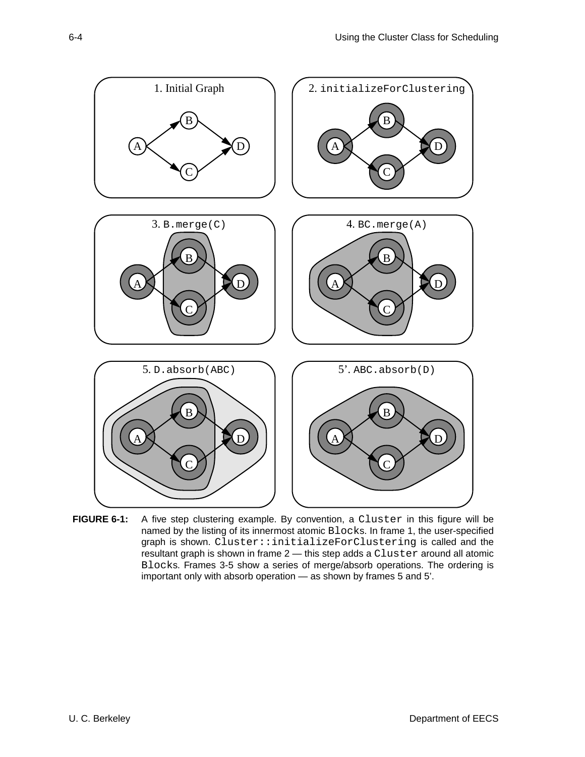

FIGURE 6-1: A five step clustering example. By convention, a Cluster in this figure will be named by the listing of its innermost atomic Blocks. In frame 1, the user-specified graph is shown. Cluster::initializeForClustering is called and the resultant graph is shown in frame 2 - this step adds a Cluster around all atomic Blocks. Frames 3-5 show a series of merge/absorb operations. The ordering is important only with absorb operation — as shown by frames 5 and 5'.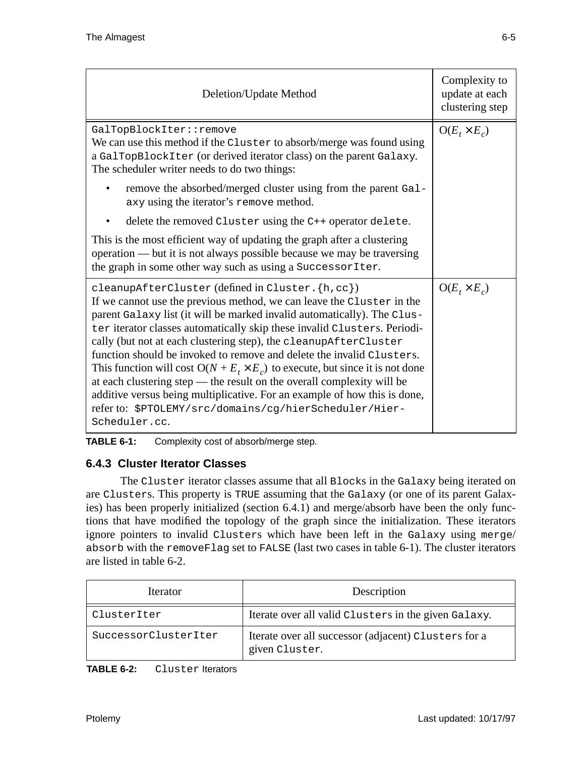| Deletion/Update Method                                                                                                                                                                                                                                                                                                                                                                                                                                                                                                                                                                                                                                                                                                                                   | Complexity to<br>update at each<br>clustering step |
|----------------------------------------------------------------------------------------------------------------------------------------------------------------------------------------------------------------------------------------------------------------------------------------------------------------------------------------------------------------------------------------------------------------------------------------------------------------------------------------------------------------------------------------------------------------------------------------------------------------------------------------------------------------------------------------------------------------------------------------------------------|----------------------------------------------------|
| GalTopBlockIter::remove<br>We can use this method if the Cluster to absorb/merge was found using<br>a GalTopBlockIter (or derived iterator class) on the parent Galaxy.<br>The scheduler writer needs to do two things:                                                                                                                                                                                                                                                                                                                                                                                                                                                                                                                                  | $O(E_t \times E_c)$                                |
| remove the absorbed/merged cluster using from the parent Gal-<br>axy using the iterator's remove method.                                                                                                                                                                                                                                                                                                                                                                                                                                                                                                                                                                                                                                                 |                                                    |
| delete the removed Cluster using the C++ operator delete.                                                                                                                                                                                                                                                                                                                                                                                                                                                                                                                                                                                                                                                                                                |                                                    |
| This is the most efficient way of updating the graph after a clustering<br>operation — but it is not always possible because we may be traversing<br>the graph in some other way such as using a Successor Iter.                                                                                                                                                                                                                                                                                                                                                                                                                                                                                                                                         |                                                    |
| cleanupAfterCluster (defined in Cluster. {h, cc})<br>If we cannot use the previous method, we can leave the Cluster in the<br>parent Galaxy list (it will be marked invalid automatically). The Clus-<br>ter iterator classes automatically skip these invalid Clusters. Periodi-<br>cally (but not at each clustering step), the cleanupAfterCluster<br>function should be invoked to remove and delete the invalid Clusters.<br>This function will cost $O(N + E_t \times E_c)$ to execute, but since it is not done<br>at each clustering step — the result on the overall complexity will be<br>additive versus being multiplicative. For an example of how this is done,<br>refer to: \$PTOLEMY/src/domains/cg/hierScheduler/Hier-<br>Scheduler.cc. | $O(E_{t} \times E_{c})$                            |

**TABLE 6-1:** Complexity cost of absorb/merge step.

#### **6.4.3 Cluster Iterator Classes**

The Cluster iterator classes assume that all Blocks in the Galaxy being iterated on are Clusters. This property is TRUE assuming that the Galaxy (or one of its parent Galaxies) has been properly initialized (section 6.4.1) and merge/absorb have been the only functions that have modified the topology of the graph since the initialization. These iterators ignore pointers to invalid Clusters which have been left in the Galaxy using merge/ absorb with the removeFlag set to FALSE (last two cases in table 6-1). The cluster iterators are listed in table 6-2.

| <i><u><b>Iterator</b></u></i> | Description                                                            |
|-------------------------------|------------------------------------------------------------------------|
| ClusterIter                   | Iterate over all valid Clusters in the given Galaxy.                   |
| SuccessorClusterIter          | Iterate over all successor (adjacent) Clusters for a<br>given Cluster. |

| TABLE 6-2: | Cluster Iterators |  |
|------------|-------------------|--|
|            |                   |  |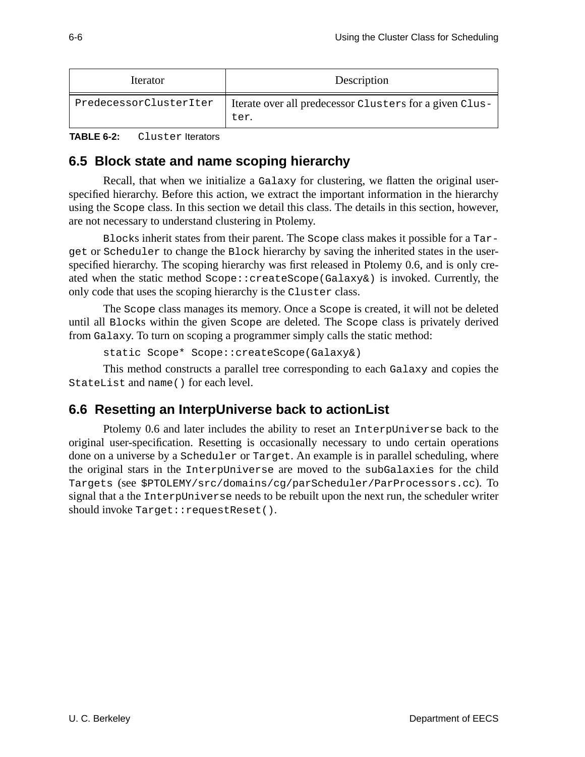| <i><u><b>Iterator</b></u></i> | Description                                                     |
|-------------------------------|-----------------------------------------------------------------|
| PredecessorClusterIter        | Iterate over all predecessor Clusters for a given Clus-<br>ter. |

```
TABLE 6-2: Cluster Iterators
```
## **6.5 Block state and name scoping hierarchy**

Recall, that when we initialize a Galaxy for clustering, we flatten the original userspecified hierarchy. Before this action, we extract the important information in the hierarchy using the Scope class. In this section we detail this class. The details in this section, however, are not necessary to understand clustering in Ptolemy.

Blocks inherit states from their parent. The Scope class makes it possible for a Target or Scheduler to change the Block hierarchy by saving the inherited states in the userspecified hierarchy. The scoping hierarchy was first released in Ptolemy 0.6, and is only created when the static method Scope::createScope(Galaxy&) is invoked. Currently, the only code that uses the scoping hierarchy is the Cluster class.

The Scope class manages its memory. Once a Scope is created, it will not be deleted until all Blocks within the given Scope are deleted. The Scope class is privately derived from Galaxy. To turn on scoping a programmer simply calls the static method:

```
static Scope* Scope::createScope(Galaxy&)
```
This method constructs a parallel tree corresponding to each Galaxy and copies the StateList and name() for each level.

## **6.6 Resetting an InterpUniverse back to actionList**

Ptolemy 0.6 and later includes the ability to reset an InterpUniverse back to the original user-specification. Resetting is occasionally necessary to undo certain operations done on a universe by a Scheduler or Target. An example is in parallel scheduling, where the original stars in the InterpUniverse are moved to the subGalaxies for the child Targets (see \$PTOLEMY/src/domains/cg/parScheduler/ParProcessors.cc). To signal that a the InterpUniverse needs to be rebuilt upon the next run, the scheduler writer should invoke Target:: requestReset().